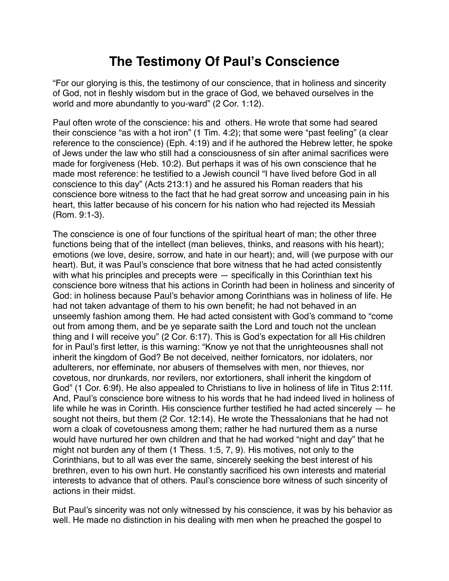## **The Testimony Of Paul's Conscience**

"For our glorying is this, the testimony of our conscience, that in holiness and sincerity of God, not in fleshly wisdom but in the grace of God, we behaved ourselves in the world and more abundantly to you-ward" (2 Cor. 1:12).

Paul often wrote of the conscience: his and others. He wrote that some had seared their conscience "as with a hot iron" (1 Tim. 4:2); that some were "past feeling" (a clear reference to the conscience) (Eph. 4:19) and if he authored the Hebrew letter, he spoke of Jews under the law who still had a consciousness of sin after animal sacrifices were made for forgiveness (Heb. 10:2). But perhaps it was of his own conscience that he made most reference: he testified to a Jewish council "I have lived before God in all conscience to this day" (Acts 213:1) and he assured his Roman readers that his conscience bore witness to the fact that he had great sorrow and unceasing pain in his heart, this latter because of his concern for his nation who had rejected its Messiah (Rom. 9:1-3).

The conscience is one of four functions of the spiritual heart of man; the other three functions being that of the intellect (man believes, thinks, and reasons with his heart); emotions (we love, desire, sorrow, and hate in our heart); and, will (we purpose with our heart). But, it was Paul's conscience that bore witness that he had acted consistently with what his principles and precepts were  $-$  specifically in this Corinthian text his conscience bore witness that his actions in Corinth had been in holiness and sincerity of God: in holiness because Paul's behavior among Corinthians was in holiness of life. He had not taken advantage of them to his own benefit; he had not behaved in an unseemly fashion among them. He had acted consistent with God's command to "come out from among them, and be ye separate saith the Lord and touch not the unclean thing and I will receive you" (2 Cor. 6:17). This is God's expectation for all His children for in Paul's first letter, is this warning: "Know ye not that the unrighteousnes shall not inherit the kingdom of God? Be not deceived, neither fornicators, nor idolaters, nor adulterers, nor effeminate, nor abusers of themselves with men, nor thieves, nor covetous, nor drunkards, nor revilers, nor extortioners, shall inherit the kingdom of God" (1 Cor. 6:9f). He also appealed to Christians to live in holiness of life in Titus 2:11f. And, Paul's conscience bore witness to his words that he had indeed lived in holiness of life while he was in Corinth. His conscience further testified he had acted sincerely — he sought not theirs, but them (2 Cor. 12:14). He wrote the Thessalonians that he had not worn a cloak of covetousness among them; rather he had nurtured them as a nurse would have nurtured her own children and that he had worked "night and day" that he might not burden any of them (1 Thess. 1:5, 7, 9). His motives, not only to the Corinthians, but to all was ever the same, sincerely seeking the best interest of his brethren, even to his own hurt. He constantly sacrificed his own interests and material interests to advance that of others. Paul's conscience bore witness of such sincerity of actions in their midst.

But Paul's sincerity was not only witnessed by his conscience, it was by his behavior as well. He made no distinction in his dealing with men when he preached the gospel to